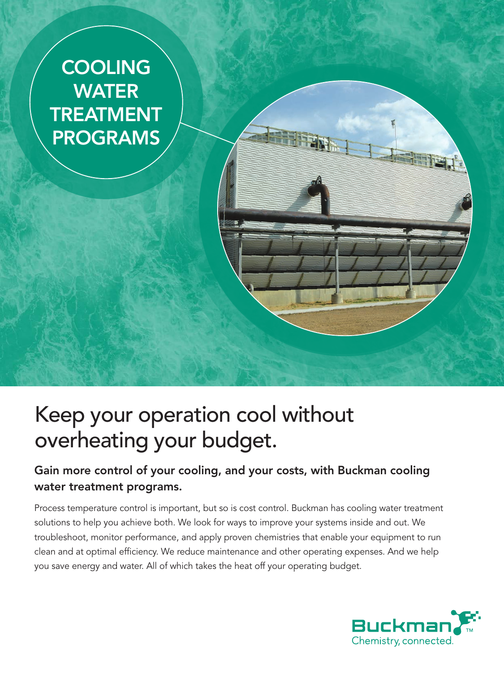

# Keep your operation cool without overheating your budget.

### Gain more control of your cooling, and your costs, with Buckman cooling water treatment programs.

Process temperature control is important, but so is cost control. Buckman has cooling water treatment solutions to help you achieve both. We look for ways to improve your systems inside and out. We troubleshoot, monitor performance, and apply proven chemistries that enable your equipment to run clean and at optimal efficiency. We reduce maintenance and other operating expenses. And we help you save energy and water. All of which takes the heat off your operating budget.